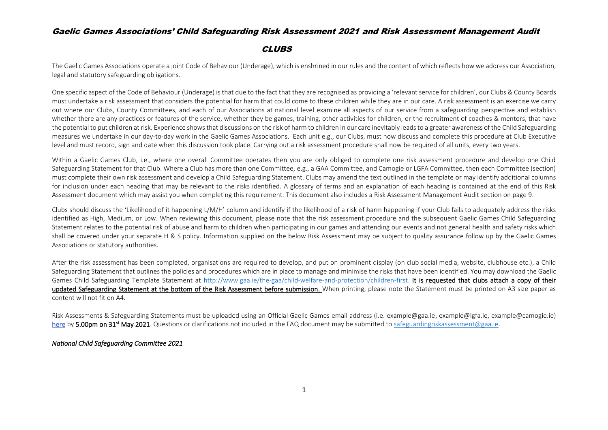#### **CLUBS**

The Gaelic Games Associations operate a joint Code of Behaviour (Underage), which is enshrined in our rules and the content of which reflects how we address our Association, legal and statutory safeguarding obligations.

One specific aspect of the Code of Behaviour (Underage) is that due to the fact that they are recognised as providing a 'relevant service for children', our Clubs & County Boards must undertake a risk assessment that considers the potential for harm that could come to these children while they are in our care. A risk assessment is an exercise we carry out where our Clubs, County Committees, and each of our Associations at national level examine all aspects of our service from a safeguarding perspective and establish whether there are any practices or features of the service, whether they be games, training, other activities for children, or the recruitment of coaches & mentors, that have the potential to put children at risk. Experience shows that discussions on the risk of harm to children in our care inevitably leads to a greater awareness of the Child Safeguarding measures we undertake in our day-to-day work in the Gaelic Games Associations. Each unit e.g., our Clubs, must now discuss and complete this procedure at Club Executive level and must record, sign and date when this discussion took place. Carrying out a risk assessment procedure shall now be required of all units, every two years.

Within a Gaelic Games Club, i.e., where one overall Committee operates then you are only obliged to complete one risk assessment procedure and develop one Child Safeguarding Statement for that Club. Where a Club has more than one Committee, e.g., a GAA Committee, and Camogie or LGFA Committee, then each Committee (section) must complete their own risk assessment and develop a Child Safeguarding Statement. Clubs may amend the text outlined in the template or may identify additional columns for inclusion under each heading that may be relevant to the risks identified. A glossary of terms and an explanation of each heading is contained at the end of this Risk Assessment document which may assist you when completing this requirement. This document also includes a Risk Assessment Management Audit section on page 9.

Clubs should discuss the 'Likelihood of it happening L/M/H' column and identify if the likelihood of a risk of harm happening if your Club fails to adequately address the risks identified as High, Medium, or Low. When reviewing this document, please note that the risk assessment procedure and the subsequent Gaelic Games Child Safeguarding Statement relates to the potential risk of abuse and harm to children when participating in our games and attending our events and not general health and safety risks which shall be covered under your separate H & S policy. Information supplied on the below Risk Assessment may be subject to quality assurance follow up by the Gaelic Games Associations or statutory authorities.

After the risk assessment has been completed, organisations are required to develop, and put on prominent display (on club social media, website, clubhouse etc.), a Child Safeguarding Statement that outlines the policies and procedures which are in place to manage and minimise the risks that have been identified. You may download the Gaelic Games Child Safeguarding Template Statement at [http://www.gaa.ie/the-gaa/child-welfare-and-protection/children-first.](http://www.gaa.ie/the-gaa/child-welfare-and-protection/children-first) It is requested that clubs attach a copy of their updated Safeguarding Statement at the bottom of the Risk Assessment before submission. When printing, please note the Statement must be printed on A3 size paper as content will not fit on A4.

Risk Assessments & Safeguarding Statements must be uploaded using an Official Gaelic Games email address (i.e. example@gaa.ie, example@lgfa.ie, example@camogie.ie) [here](https://forms.office.com/Pages/ResponsePage.aspx?id=hrxFrNSvpUKfwz6H4bd_zky_0LfFg99NieH5bikZxqpUOVFIM0NOWEhTTlZCWElZU0VCUkpMQ1A2RS4u) by 5.00pm on 31<sup>st</sup> May 2021. Questions or clarifications not included in the FAQ document may be submitted to [safeguardingriskassessment@gaa.ie.](mailto:safeguardingriskassessment@gaa.ie)

#### *National Child Safeguarding Committee 2021*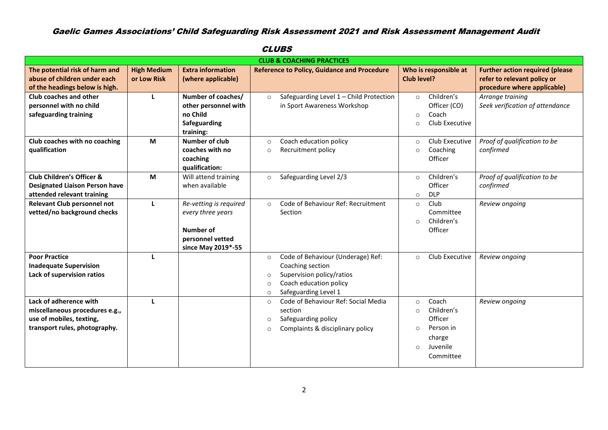|                                       |                    |                           | <b>CLUB &amp; COACHING PRACTICES</b>                             |                           |                                        |
|---------------------------------------|--------------------|---------------------------|------------------------------------------------------------------|---------------------------|----------------------------------------|
| The potential risk of harm and        | <b>High Medium</b> | <b>Extra information</b>  | <b>Reference to Policy, Guidance and Procedure</b>               | Who is responsible at     | <b>Further action required (please</b> |
| abuse of children under each          | or Low Risk        | (where applicable)        |                                                                  | Club level?               | refer to relevant policy or            |
| of the headings below is high.        |                    |                           |                                                                  |                           | procedure where applicable)            |
| Club coaches and other                | L                  | Number of coaches/        | Safeguarding Level 1 - Child Protection<br>$\circ$               | Children's<br>$\circ$     | Arrange training                       |
| personnel with no child               |                    | other personnel with      | in Sport Awareness Workshop                                      | Officer (CO)              | Seek verification of attendance        |
| safeguarding training                 |                    | no Child                  |                                                                  | Coach<br>$\circ$          |                                        |
|                                       |                    | Safeguarding<br>training: |                                                                  | Club Executive<br>$\circ$ |                                        |
| Club coaches with no coaching         | M                  | Number of club            | Coach education policy<br>$\circ$                                | Club Executive<br>$\circ$ | Proof of qualification to be           |
| qualification                         |                    | coaches with no           | Recruitment policy<br>$\circ$                                    | Coaching<br>$\circ$       | confirmed                              |
|                                       |                    | coaching                  |                                                                  | Officer                   |                                        |
|                                       |                    | qualification:            |                                                                  |                           |                                        |
| Club Children's Officer &             | M                  | Will attend training      | Safeguarding Level 2/3<br>$\circ$                                | Children's<br>$\circ$     | Proof of qualification to be           |
| <b>Designated Liaison Person have</b> |                    | when available            |                                                                  | Officer                   | confirmed                              |
| attended relevant training            |                    |                           |                                                                  | <b>DLP</b><br>$\circ$     |                                        |
| <b>Relevant Club personnel not</b>    | L                  | Re-vetting is required    | Code of Behaviour Ref: Recruitment<br>$\circ$                    | Club<br>$\circ$           | Review ongoing                         |
| vetted/no background checks           |                    | every three years         | Section                                                          | Committee                 |                                        |
|                                       |                    |                           |                                                                  | Children's<br>$\circ$     |                                        |
|                                       |                    | Number of                 |                                                                  | Officer                   |                                        |
|                                       |                    | personnel vetted          |                                                                  |                           |                                        |
| <b>Poor Practice</b>                  |                    | since May 2019*-55        |                                                                  |                           |                                        |
| <b>Inadequate Supervision</b>         | L                  |                           | Code of Behaviour (Underage) Ref:<br>$\circ$<br>Coaching section | Club Executive<br>$\circ$ | Review ongoing                         |
| Lack of supervision ratios            |                    |                           | Supervision policy/ratios<br>$\circ$                             |                           |                                        |
|                                       |                    |                           | Coach education policy<br>$\circ$                                |                           |                                        |
|                                       |                    |                           | Safeguarding Level 1<br>$\circ$                                  |                           |                                        |
| Lack of adherence with                | т.                 |                           | Code of Behaviour Ref: Social Media<br>$\circ$                   | Coach<br>$\circ$          | Review ongoing                         |
| miscellaneous procedures e.g.,        |                    |                           | section                                                          | Children's<br>$\Omega$    |                                        |
| use of mobiles, texting,              |                    |                           | Safeguarding policy<br>$\circ$                                   | Officer                   |                                        |
| transport rules, photography.         |                    |                           | Complaints & disciplinary policy<br>$\circ$                      | Person in<br>$\circ$      |                                        |
|                                       |                    |                           |                                                                  | charge                    |                                        |
|                                       |                    |                           |                                                                  | Juvenile<br>$\circ$       |                                        |
|                                       |                    |                           |                                                                  | Committee                 |                                        |
|                                       |                    |                           |                                                                  |                           |                                        |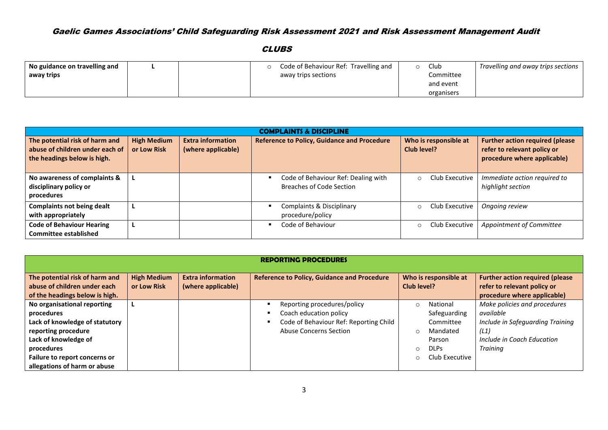| No guidance on travelling and |  | Code of Behaviour Ref: Travelling and | Club       | Travelling and away trips sections |
|-------------------------------|--|---------------------------------------|------------|------------------------------------|
| away trips                    |  | away trips sections                   | Committee  |                                    |
|                               |  |                                       | and event  |                                    |
|                               |  |                                       | organisers |                                    |

| <b>COMPLAINTS &amp; DISCIPLINE</b>                                                               |                                   |                                                |                                                                        |                                      |                                                                                                      |  |  |  |  |
|--------------------------------------------------------------------------------------------------|-----------------------------------|------------------------------------------------|------------------------------------------------------------------------|--------------------------------------|------------------------------------------------------------------------------------------------------|--|--|--|--|
| The potential risk of harm and<br>abuse of children under each of<br>the headings below is high. | <b>High Medium</b><br>or Low Risk | <b>Extra information</b><br>(where applicable) | <b>Reference to Policy, Guidance and Procedure</b>                     | Who is responsible at<br>Club level? | <b>Further action required (please</b><br>refer to relevant policy or<br>procedure where applicable) |  |  |  |  |
| No awareness of complaints &<br>disciplinary policy or<br>procedures                             |                                   |                                                | Code of Behaviour Ref: Dealing with<br><b>Breaches of Code Section</b> | Club Executive<br>$\Omega$           | Immediate action required to<br>highlight section                                                    |  |  |  |  |
| <b>Complaints not being dealt</b><br>with appropriately                                          | ш                                 |                                                | <b>Complaints &amp; Disciplinary</b><br>procedure/policy               | Club Executive<br>$\Omega$           | Ongoing review                                                                                       |  |  |  |  |
| <b>Code of Behaviour Hearing</b><br><b>Committee established</b>                                 | ъ                                 |                                                | Code of Behaviour                                                      | Club Executive<br>$\circ$            | Appointment of Committee                                                                             |  |  |  |  |

| <b>REPORTING PROCEDURES</b>                                                                                                                                                                               |                                   |                                                |                                                                                                                                |                                                                                              |                                                                                                                                        |  |  |  |  |
|-----------------------------------------------------------------------------------------------------------------------------------------------------------------------------------------------------------|-----------------------------------|------------------------------------------------|--------------------------------------------------------------------------------------------------------------------------------|----------------------------------------------------------------------------------------------|----------------------------------------------------------------------------------------------------------------------------------------|--|--|--|--|
| The potential risk of harm and<br>abuse of children under each<br>of the headings below is high.                                                                                                          | <b>High Medium</b><br>or Low Risk | <b>Extra information</b><br>(where applicable) | <b>Reference to Policy, Guidance and Procedure</b>                                                                             | Who is responsible at<br>Club level?                                                         | <b>Further action required (please</b><br>refer to relevant policy or<br>procedure where applicable)                                   |  |  |  |  |
| No organisational reporting<br>procedures<br>Lack of knowledge of statutory<br>reporting procedure<br>Lack of knowledge of<br>procedures<br>Failure to report concerns or<br>allegations of harm or abuse |                                   |                                                | Reporting procedures/policy<br>Coach education policy<br>٠<br>Code of Behaviour Ref: Reporting Child<br>Abuse Concerns Section | National<br>Safeguarding<br>Committee<br>Mandated<br>Parson<br><b>DLPs</b><br>Club Executive | Make policies and procedures<br>available<br>Include in Safeguarding Training<br>(L1)<br>Include in Coach Education<br><b>Training</b> |  |  |  |  |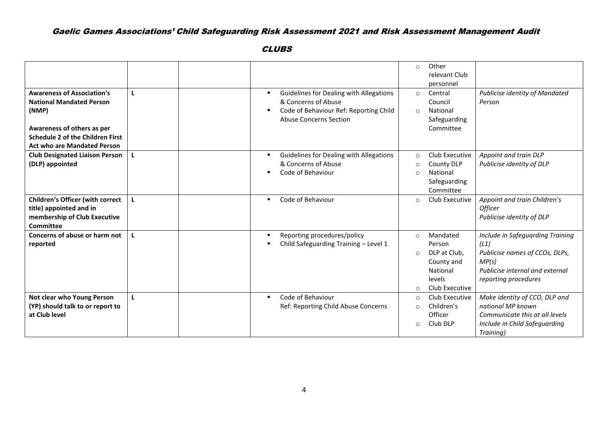| <b>Awareness of Association's</b><br><b>National Mandated Person</b><br>(NMP)<br>Awareness of others as per<br><b>Schedule 2 of the Children First</b><br><b>Act who are Mandated Person</b> | $\mathbf{L}$ | Guidelines for Dealing with Allegations<br>٠<br>& Concerns of Abuse<br>Code of Behaviour Ref: Reporting Child<br>$\blacksquare$<br><b>Abuse Concerns Section</b> | Other<br>$\circ$<br>relevant Club<br>personnel<br>Central<br>$\circ$<br>Council<br>National<br>$\circ$<br>Safeguarding<br>Committee | Publicise identity of Mandated<br>Person                                                                                                       |
|----------------------------------------------------------------------------------------------------------------------------------------------------------------------------------------------|--------------|------------------------------------------------------------------------------------------------------------------------------------------------------------------|-------------------------------------------------------------------------------------------------------------------------------------|------------------------------------------------------------------------------------------------------------------------------------------------|
| <b>Club Designated Liaison Person</b><br>(DLP) appointed                                                                                                                                     | L.           | Guidelines for Dealing with Allegations<br>$\blacksquare$<br>& Concerns of Abuse<br>Code of Behaviour<br>$\blacksquare$                                          | Club Executive<br>$\circ$<br>County DLP<br>$\circ$<br>National<br>$\Omega$<br>Safeguarding<br>Committee                             | Appoint and train DLP<br>Publicise identity of DLP                                                                                             |
| <b>Children's Officer (with correct</b><br>title) appointed and in<br>membership of Club Executive<br><b>Committee</b>                                                                       | L            | Code of Behaviour<br>٠                                                                                                                                           | Club Executive<br>$\circ$                                                                                                           | Appoint and train Children's<br><b>Officer</b><br>Publicise identity of DLP                                                                    |
| Concerns of abuse or harm not<br>reported                                                                                                                                                    | L            | Reporting procedures/policy<br>$\blacksquare$<br>Child Safeguarding Training - Level 1<br>п                                                                      | Mandated<br>$\circ$<br>Person<br>DLP at Club,<br>$\Omega$<br>County and<br>National<br>levels<br>Club Executive<br>$\Omega$         | Include in Safeguarding Training<br>(L1)<br>Publicise names of CCOs, DLPs,<br>MP(s)<br>Publicise internal and external<br>reporting procedures |
| Not clear who Young Person<br>(YP) should talk to or report to<br>at Club level                                                                                                              | L            | Code of Behaviour<br>$\blacksquare$<br>Ref: Reporting Child Abuse Concerns                                                                                       | Club Executive<br>$\circ$<br>Children's<br>$\Omega$<br>Officer<br>Club DLP<br>$\Omega$                                              | Make identity of CCO, DLP and<br>national MP known<br>Communicate this at all levels<br>Include in Child Safeguarding<br>Training)             |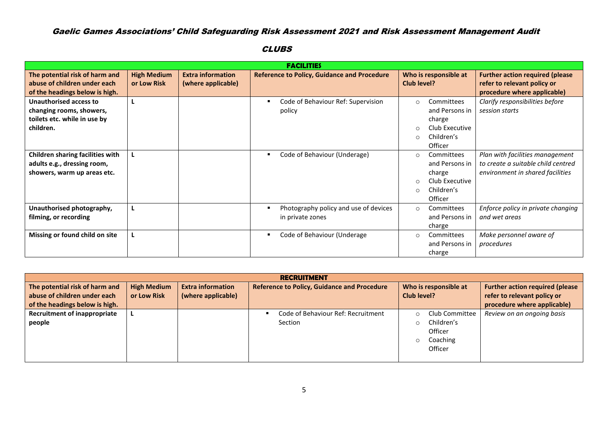|                                                                                                  |                                   |                                                |   | <b>FACILITIES</b>                                         |                               |                                                                                   |                                                                                                           |
|--------------------------------------------------------------------------------------------------|-----------------------------------|------------------------------------------------|---|-----------------------------------------------------------|-------------------------------|-----------------------------------------------------------------------------------|-----------------------------------------------------------------------------------------------------------|
| The potential risk of harm and<br>abuse of children under each<br>of the headings below is high. | <b>High Medium</b><br>or Low Risk | <b>Extra information</b><br>(where applicable) |   | <b>Reference to Policy, Guidance and Procedure</b>        | Club level?                   | Who is responsible at                                                             | <b>Further action required (please</b><br>refer to relevant policy or<br>procedure where applicable)      |
| Unauthorised access to<br>changing rooms, showers,<br>toilets etc. while in use by<br>children.  |                                   |                                                | ٠ | Code of Behaviour Ref: Supervision<br>policy              | $\circ$<br>$\circ$<br>$\circ$ | Committees<br>and Persons in<br>charge<br>Club Executive<br>Children's<br>Officer | Clarify responsibilities before<br>session starts                                                         |
| Children sharing facilities with<br>adults e.g., dressing room,<br>showers, warm up areas etc.   |                                   |                                                | ٠ | Code of Behaviour (Underage)                              | $\circ$<br>$\circ$<br>$\circ$ | Committees<br>and Persons in<br>charge<br>Club Executive<br>Children's<br>Officer | Plan with facilities management<br>to create a suitable child centred<br>environment in shared facilities |
| Unauthorised photography,<br>filming, or recording                                               |                                   |                                                | п | Photography policy and use of devices<br>in private zones | $\circ$                       | Committees<br>and Persons in<br>charge                                            | Enforce policy in private changing<br>and wet areas                                                       |
| Missing or found child on site                                                                   |                                   |                                                |   | Code of Behaviour (Underage                               | $\circ$                       | Committees<br>and Persons in<br>charge                                            | Make personnel aware of<br>procedures                                                                     |

| <b>RECRUITMENT</b>                  |                                        |                    |  |  |                                    |             |                |                             |  |
|-------------------------------------|----------------------------------------|--------------------|--|--|------------------------------------|-------------|----------------|-----------------------------|--|
| The potential risk of harm and      | <b>Further action required (please</b> |                    |  |  |                                    |             |                |                             |  |
| abuse of children under each        | or Low Risk                            | (where applicable) |  |  |                                    | Club level? |                | refer to relevant policy or |  |
| of the headings below is high.      |                                        |                    |  |  |                                    |             |                | procedure where applicable) |  |
| <b>Recruitment of inappropriate</b> |                                        |                    |  |  | Code of Behaviour Ref: Recruitment | $\Omega$    | Club Committee | Review on an ongoing basis  |  |
| people                              |                                        |                    |  |  | Section                            |             | Children's     |                             |  |
|                                     |                                        |                    |  |  |                                    |             | Officer        |                             |  |
|                                     |                                        |                    |  |  |                                    | $\Omega$    | Coaching       |                             |  |
|                                     |                                        |                    |  |  |                                    |             | Officer        |                             |  |
|                                     |                                        |                    |  |  |                                    |             |                |                             |  |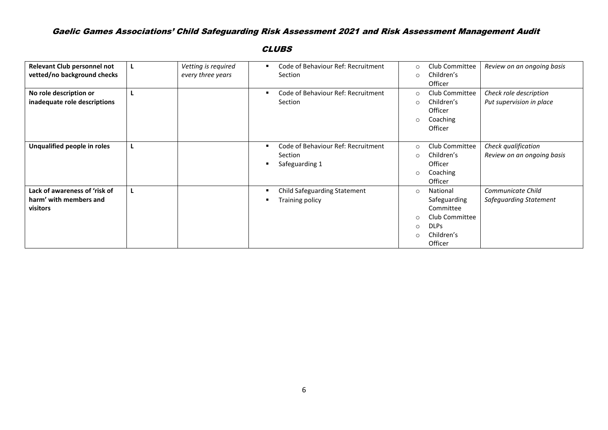| Relevant Club personnel not   | L | Vetting is required | ٠ | Code of Behaviour Ref: Recruitment  | $\circ$  | Club Committee | Review on an ongoing basis |
|-------------------------------|---|---------------------|---|-------------------------------------|----------|----------------|----------------------------|
| vetted/no background checks   |   | every three years   |   | <b>Section</b>                      | $\circ$  | Children's     |                            |
|                               |   |                     |   |                                     |          | Officer        |                            |
| No role description or        |   |                     |   | Code of Behaviour Ref: Recruitment  | $\circ$  | Club Committee | Check role description     |
| inadequate role descriptions  |   |                     |   | Section                             | $\circ$  | Children's     | Put supervision in place   |
|                               |   |                     |   |                                     |          | Officer        |                            |
|                               |   |                     |   |                                     | $\circ$  | Coaching       |                            |
|                               |   |                     |   |                                     |          | Officer        |                            |
|                               |   |                     |   |                                     |          |                |                            |
| Unqualified people in roles   | L |                     | ٠ | Code of Behaviour Ref: Recruitment  | $\circ$  | Club Committee | Check qualification        |
|                               |   |                     |   | Section                             | $\circ$  | Children's     | Review on an ongoing basis |
|                               |   |                     | ٠ | Safeguarding 1                      |          | Officer        |                            |
|                               |   |                     |   |                                     | $\circ$  | Coaching       |                            |
|                               |   |                     |   |                                     |          | Officer        |                            |
| Lack of awareness of 'risk of | ш |                     |   | <b>Child Safeguarding Statement</b> | $\circ$  | National       | Communicate Child          |
| harm' with members and        |   |                     |   | Training policy                     |          | Safeguarding   | Safeguarding Statement     |
| visitors                      |   |                     |   |                                     |          | Committee      |                            |
|                               |   |                     |   |                                     | $\circ$  | Club Committee |                            |
|                               |   |                     |   |                                     | $\circ$  | <b>DLPs</b>    |                            |
|                               |   |                     |   |                                     | $\Omega$ | Children's     |                            |
|                               |   |                     |   |                                     |          | Officer        |                            |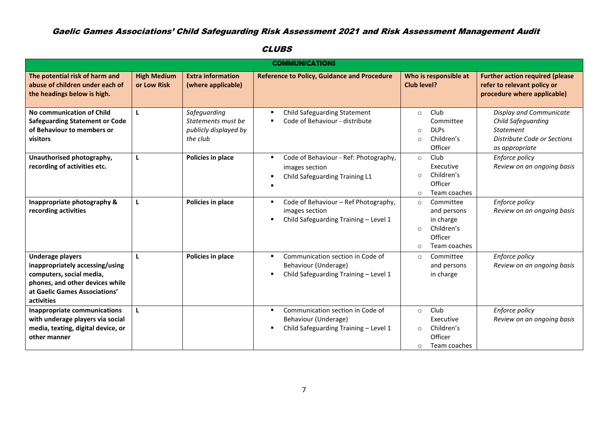| <b>COMMUNICATIONS</b>                                                                                                                                                    |                                   |                                                                         |                                                                                                        |                                                                                                                   |                                                                                                                    |  |  |  |
|--------------------------------------------------------------------------------------------------------------------------------------------------------------------------|-----------------------------------|-------------------------------------------------------------------------|--------------------------------------------------------------------------------------------------------|-------------------------------------------------------------------------------------------------------------------|--------------------------------------------------------------------------------------------------------------------|--|--|--|
| The potential risk of harm and<br>abuse of children under each of<br>the headings below is high.                                                                         | <b>High Medium</b><br>or Low Risk | <b>Extra information</b><br>(where applicable)                          | <b>Reference to Policy, Guidance and Procedure</b>                                                     | Who is responsible at<br>Club level?                                                                              | <b>Further action required (please</b><br>refer to relevant policy or<br>procedure where applicable)               |  |  |  |
| No communication of Child<br><b>Safeguarding Statement or Code</b><br>of Behaviour to members or<br>visitors                                                             | L                                 | Safeguarding<br>Statements must be<br>publicly displayed by<br>the club | <b>Child Safeguarding Statement</b><br>٠<br>Code of Behaviour - distribute                             | Club<br>$\circ$<br>Committee<br><b>DLPs</b><br>$\circ$<br>Children's<br>$\Omega$<br>Officer                       | Display and Communicate<br>Child Safeguarding<br><b>Statement</b><br>Distribute Code or Sections<br>as appropriate |  |  |  |
| Unauthorised photography,<br>recording of activities etc.                                                                                                                | L                                 | Policies in place                                                       | Code of Behaviour - Ref: Photography,<br>images section<br>Child Safeguarding Training L1              | Club<br>$\circ$<br>Executive<br>Children's<br>$\bigcap$<br>Officer<br>Team coaches<br>$\circ$                     | Enforce policy<br>Review on an ongoing basis                                                                       |  |  |  |
| Inappropriate photography &<br>recording activities                                                                                                                      |                                   | Policies in place                                                       | Code of Behaviour - Ref Photography,<br>٠<br>images section<br>Child Safeguarding Training - Level 1   | Committee<br>$\circ$<br>and persons<br>in charge<br>Children's<br>$\Omega$<br>Officer<br>Team coaches<br>$\Omega$ | Enforce policy<br>Review on an ongoing basis                                                                       |  |  |  |
| <b>Underage players</b><br>inappropriately accessing/using<br>computers, social media,<br>phones, and other devices while<br>at Gaelic Games Associations'<br>activities | L                                 | Policies in place                                                       | Communication section in Code of<br>٠<br>Behaviour (Underage)<br>Child Safeguarding Training - Level 1 | Committee<br>$\circ$<br>and persons<br>in charge                                                                  | Enforce policy<br>Review on an ongoing basis                                                                       |  |  |  |
| Inappropriate communications<br>with underage players via social<br>media, texting, digital device, or<br>other manner                                                   |                                   |                                                                         | Communication section in Code of<br>Behaviour (Underage)<br>Child Safeguarding Training - Level 1      | Club<br>$\circ$<br>Executive<br>Children's<br>$\circ$<br>Officer<br>Team coaches<br>$\circ$                       | Enforce policy<br>Review on an ongoing basis                                                                       |  |  |  |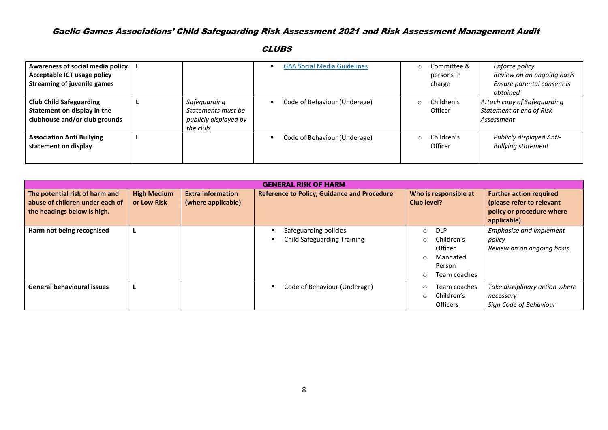| Awareness of social media policy   |                       | <b>GAA Social Media Guidelines</b> | $\cap$ | Committee & | Enforce policy              |
|------------------------------------|-----------------------|------------------------------------|--------|-------------|-----------------------------|
| Acceptable ICT usage policy        |                       |                                    |        | persons in  | Review on an ongoing basis  |
| <b>Streaming of juvenile games</b> |                       |                                    |        | charge      | Ensure parental consent is  |
|                                    |                       |                                    |        |             | obtained                    |
| <b>Club Child Safeguarding</b>     | Safeguarding          | Code of Behaviour (Underage)       | $\cap$ | Children's  | Attach copy of Safeguarding |
| Statement on display in the        | Statements must be    |                                    |        | Officer     | Statement at end of Risk    |
| clubhouse and/or club grounds      | publicly displayed by |                                    |        |             | Assessment                  |
|                                    | the club              |                                    |        |             |                             |
| <b>Association Anti Bullying</b>   |                       | Code of Behaviour (Underage)       | $\cap$ | Children's  | Publicly displayed Anti-    |
| statement on display               |                       |                                    |        | Officer     | <b>Bullying statement</b>   |
|                                    |                       |                                    |        |             |                             |
|                                    |                       |                                    |        |             |                             |

| <b>GENERAL RISK OF HARM</b>                                                                      |                                   |                                                |                                                             |                                                                                                         |                                                                                                         |  |  |  |  |
|--------------------------------------------------------------------------------------------------|-----------------------------------|------------------------------------------------|-------------------------------------------------------------|---------------------------------------------------------------------------------------------------------|---------------------------------------------------------------------------------------------------------|--|--|--|--|
| The potential risk of harm and<br>abuse of children under each of<br>the headings below is high. | <b>High Medium</b><br>or Low Risk | <b>Extra information</b><br>(where applicable) | <b>Reference to Policy, Guidance and Procedure</b>          | Who is responsible at<br>Club level?                                                                    | <b>Further action required</b><br>(please refer to relevant<br>policy or procedure where<br>applicable) |  |  |  |  |
| Harm not being recognised                                                                        |                                   |                                                | Safeguarding policies<br><b>Child Safeguarding Training</b> | <b>DLP</b><br>O<br>Children's<br>$\circ$<br>Officer<br>Mandated<br>$\bigcirc$<br>Person<br>Team coaches | <b>Emphasise and implement</b><br>policy<br>Review on an ongoing basis                                  |  |  |  |  |
| <b>General behavioural issues</b>                                                                |                                   |                                                | Code of Behaviour (Underage)                                | Team coaches<br>Children's<br>$\Omega$<br><b>Officers</b>                                               | Take disciplinary action where<br>necessary<br>Sign Code of Behaviour                                   |  |  |  |  |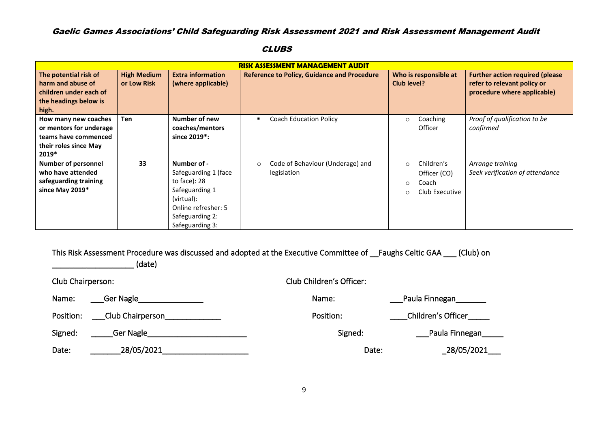|                            |                    |                           | <b>RISK ASSESSMENT MANAGEMENT AUDIT</b>            |                           |                                        |
|----------------------------|--------------------|---------------------------|----------------------------------------------------|---------------------------|----------------------------------------|
| The potential risk of      | <b>High Medium</b> | <b>Extra information</b>  | <b>Reference to Policy, Guidance and Procedure</b> | Who is responsible at     | <b>Further action required (please</b> |
| harm and abuse of          | or Low Risk        | (where applicable)        |                                                    | Club level?               | refer to relevant policy or            |
| children under each of     |                    |                           |                                                    |                           | procedure where applicable)            |
| the headings below is      |                    |                           |                                                    |                           |                                        |
| high.                      |                    |                           |                                                    |                           |                                        |
| How many new coaches       | <b>Ten</b>         | Number of new             | <b>Coach Education Policy</b>                      | Coaching<br>$\circ$       | Proof of qualification to be           |
| or mentors for underage    |                    | coaches/mentors           |                                                    | Officer                   | confirmed                              |
| teams have commenced       |                    | since 2019 <sup>*</sup> : |                                                    |                           |                                        |
| their roles since May      |                    |                           |                                                    |                           |                                        |
| 2019*                      |                    |                           |                                                    |                           |                                        |
| <b>Number of personnel</b> | 33                 | Number of -               | Code of Behaviour (Underage) and<br>$\circ$        | Children's<br>$\Omega$    | Arrange training                       |
| who have attended          |                    | Safeguarding 1 (face      | legislation                                        | Officer (CO)              | Seek verification of attendance        |
| safeguarding training      |                    | to face): $28$            |                                                    | Coach<br>$\circ$          |                                        |
| since May 2019*            |                    | Safeguarding 1            |                                                    | Club Executive<br>$\circ$ |                                        |
|                            |                    | (virtual):                |                                                    |                           |                                        |
|                            |                    | Online refresher: 5       |                                                    |                           |                                        |
|                            |                    | Safeguarding 2:           |                                                    |                           |                                        |
|                            |                    | Safeguarding 3:           |                                                    |                           |                                        |

**CLUBS** 

This Risk Assessment Procedure was discussed and adopted at the Executive Committee of \_\_Faughs Celtic GAA \_\_\_ (Club) on

 $(date)$ 

| Club Chairperson: |                  | Club Children's Officer: |                      |  |
|-------------------|------------------|--------------------------|----------------------|--|
| Name:             | Ger Nagle        | Name:                    | Paula Finnegan______ |  |
| Position:         | Club Chairperson | Position:                | Children's Officer   |  |
| Signed:           | Ger Nagle        | Signed:                  | Paula Finnegan       |  |
| Date:             | 28/05/2021       | Date:                    | _28/05/2021_         |  |

9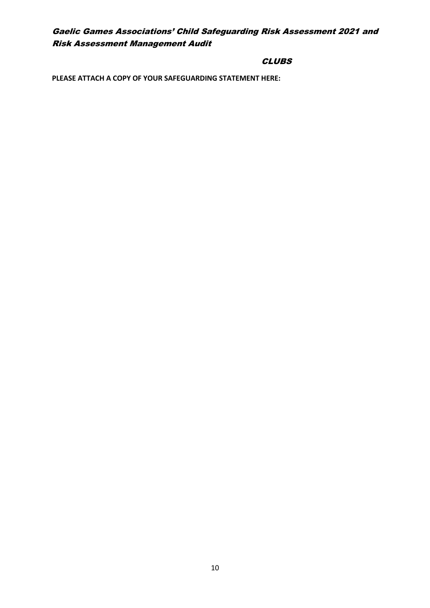## **CLUBS**

**PLEASE ATTACH A COPY OF YOUR SAFEGUARDING STATEMENT HERE:**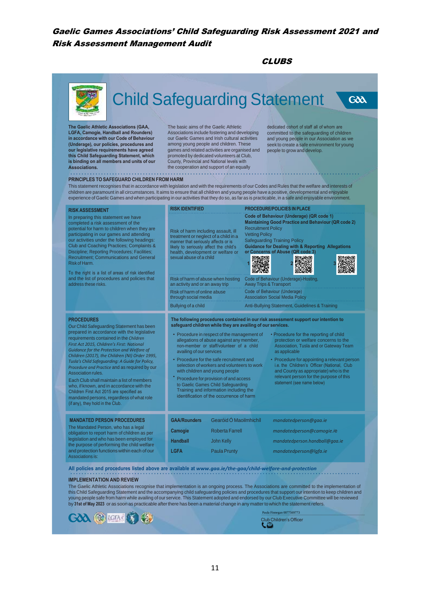CLUBS



this Child Safeguarding Statement and the accompanying child safeguarding policies and procedures that support our intention to keep children and<br>young people safe from harm while availing of our service. This Statement ad by **31st ofMay 2023** or as soon as practicable afterthere has been <sup>a</sup> material change in any matterto which the statement refers.



Club Children'sOfficer Paula Finnegan 087756977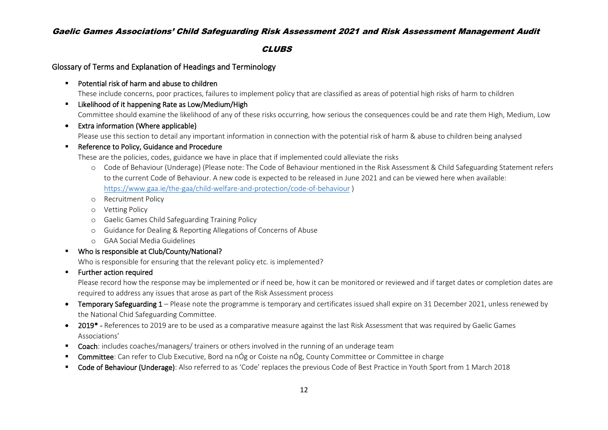#### **CLUBS**

### Glossary of Terms and Explanation of Headings and Terminology

■ Potential risk of harm and abuse to children

These include concerns, poor practices, failures to implement policy that are classified as areas of potential high risks of harm to children

- Likelihood of it happening Rate as Low/Medium/High Committee should examine the likelihood of any of these risks occurring, how serious the consequences could be and rate them High, Medium, Low
- Extra information (Where applicable)

Please use this section to detail any important information in connection with the potential risk of harm & abuse to children being analysed

### ■ Reference to Policy, Guidance and Procedure

These are the policies, codes, guidance we have in place that if implemented could alleviate the risks

- o Code of Behaviour (Underage) (Please note: The Code of Behaviour mentioned in the Risk Assessment & Child Safeguarding Statement refers to the current Code of Behaviour. A new code is expected to be released in June 2021 and can be viewed here when available: <https://www.gaa.ie/the-gaa/child-welfare-and-protection/code-of-behaviour> )
- o Recruitment Policy
- o Vetting Policy
- o Gaelic Games Child Safeguarding Training Policy
- o Guidance for Dealing & Reporting Allegations of Concerns of Abuse
- o GAA Social Media Guidelines
- Who is responsible at Club/County/National?

Who is responsible for ensuring that the relevant policy etc. is implemented?

### ■ Further action required

Please record how the response may be implemented or if need be, how it can be monitored or reviewed and if target dates or completion dates are required to address any issues that arose as part of the Risk Assessment process

- Temporary Safeguarding 1 Please note the programme is temporary and certificates issued shall expire on 31 December 2021, unless renewed by the National Chid Safeguarding Committee.
- 2019<sup>\*</sup> References to 2019 are to be used as a comparative measure against the last Risk Assessment that was required by Gaelic Games Associations'
- Coach: includes coaches/managers/ trainers or others involved in the running of an underage team
- Committee: Can refer to Club Executive, Bord na nÓg or Coiste na nÓg, County Committee or Committee in charge
- Code of Behaviour (Underage): Also referred to as 'Code' replaces the previous Code of Best Practice in Youth Sport from 1 March 2018